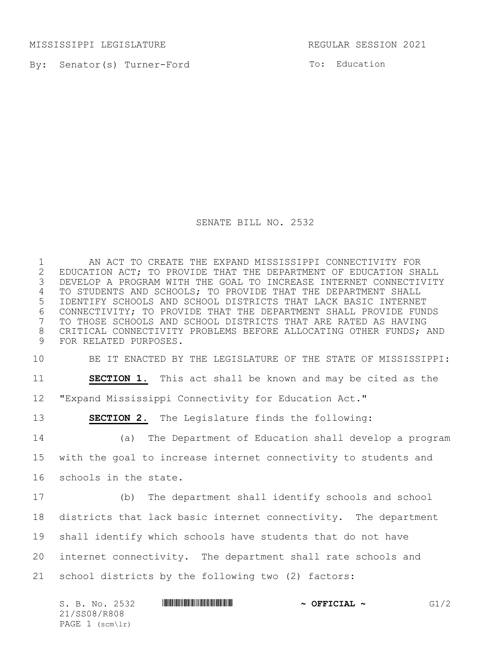MISSISSIPPI LEGISLATURE REGULAR SESSION 2021

By: Senator(s) Turner-Ford

To: Education

SENATE BILL NO. 2532

 AN ACT TO CREATE THE EXPAND MISSISSIPPI CONNECTIVITY FOR 2 EDUCATION ACT; TO PROVIDE THAT THE DEPARTMENT OF EDUCATION SHALL<br>3 DEVELOP A PROGRAM WITH THE GOAL TO INCREASE INTERNET CONNECTIVITY DEVELOP A PROGRAM WITH THE GOAL TO INCREASE INTERNET CONNECTIVITY TO STUDENTS AND SCHOOLS; TO PROVIDE THAT THE DEPARTMENT SHALL IDENTIFY SCHOOLS AND SCHOOL DISTRICTS THAT LACK BASIC INTERNET 6 CONNECTIVITY; TO PROVIDE THAT THE DEPARTMENT SHALL PROVIDE FUNDS<br>7 TO THOSE SCHOOLS AND SCHOOL DISTRICTS THAT ARE RATED AS HAVING TO THOSE SCHOOLS AND SCHOOL DISTRICTS THAT ARE RATED AS HAVING CRITICAL CONNECTIVITY PROBLEMS BEFORE ALLOCATING OTHER FUNDS; AND FOR RELATED PURPOSES.

BE IT ENACTED BY THE LEGISLATURE OF THE STATE OF MISSISSIPPI:

**SECTION 1.** This act shall be known and may be cited as the

"Expand Mississippi Connectivity for Education Act."

**SECTION 2.** The Legislature finds the following:

 (a) The Department of Education shall develop a program with the goal to increase internet connectivity to students and schools in the state.

 (b) The department shall identify schools and school districts that lack basic internet connectivity. The department shall identify which schools have students that do not have internet connectivity. The department shall rate schools and school districts by the following two (2) factors:

|  |              | S. B. No. 2532  |  | $\sim$ OFFICIAL $\sim$ | G1/2 |
|--|--------------|-----------------|--|------------------------|------|
|  | 21/SS08/R808 |                 |  |                        |      |
|  |              | PAGE 1 (scm\lr) |  |                        |      |